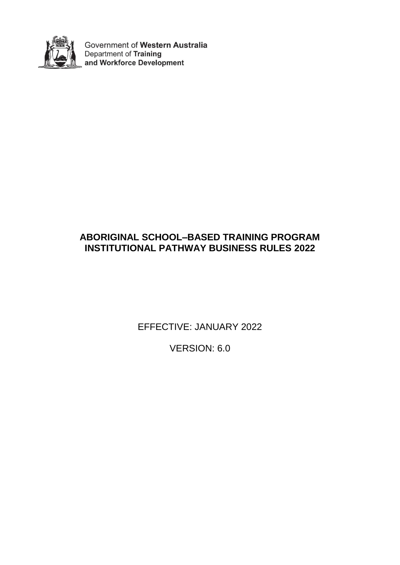

Government of Western Australia Department of Training and Workforce Development

## **ABORIGINAL SCHOOL–BASED TRAINING PROGRAM INSTITUTIONAL PATHWAY BUSINESS RULES 2022**

EFFECTIVE: JANUARY 2022

VERSION: 6.0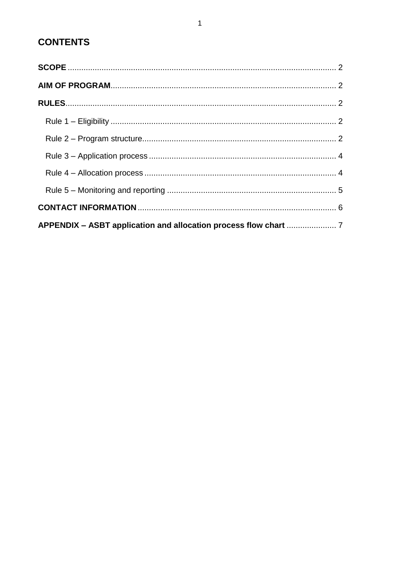# **CONTENTS**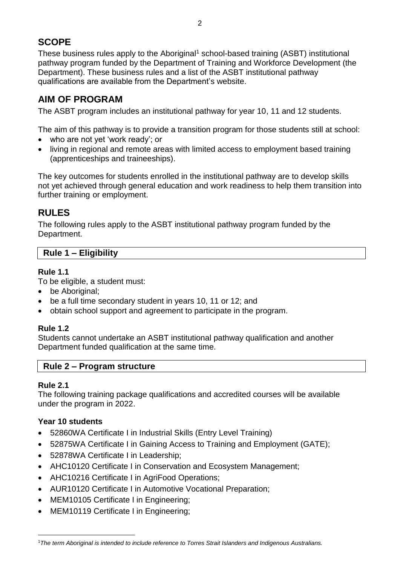## <span id="page-2-0"></span>**SCOPE**

These business rules apply to the Aboriginal<sup>1</sup> school-based training (ASBT) institutional pathway program funded by the Department of Training and Workforce Development (the Department). These business rules and a list of the ASBT institutional pathway qualifications are available from the Department's website.

## <span id="page-2-1"></span>**AIM OF PROGRAM**

The ASBT program includes an institutional pathway for year 10, 11 and 12 students.

The aim of this pathway is to provide a transition program for those students still at school:

- who are not yet 'work ready'; or
- living in regional and remote areas with limited access to employment based training (apprenticeships and traineeships).

The key outcomes for students enrolled in the institutional pathway are to develop skills not yet achieved through general education and work readiness to help them transition into further training or employment.

## <span id="page-2-2"></span>**RULES**

The following rules apply to the ASBT institutional pathway program funded by the Department.

## <span id="page-2-3"></span>**Rule 1 – Eligibility**

## **Rule 1.1**

To be eligible, a student must:

- be Aboriginal:
- be a full time secondary student in years 10, 11 or 12; and
- obtain school support and agreement to participate in the program.

## **Rule 1.2**

Students cannot undertake an ASBT institutional pathway qualification and another Department funded qualification at the same time.

## <span id="page-2-4"></span>**Rule 2 – Program structure**

## **Rule 2.1**

The following training package qualifications and accredited courses will be available under the program in 2022.

## **Year 10 students**

- 52860WA Certificate I in Industrial Skills (Entry Level Training)
- 52875WA Certificate I in Gaining Access to Training and Employment (GATE);
- 52878WA Certificate I in Leadership:
- AHC10120 Certificate I in Conservation and Ecosystem Management;
- AHC10216 Certificate I in AgriFood Operations;
- AUR10120 Certificate I in Automotive Vocational Preparation;
- MEM10105 Certificate I in Engineering;
- MEM10119 Certificate I in Engineering;

<sup>1</sup> <sup>1</sup>*The term Aboriginal is intended to include reference to Torres Strait Islanders and Indigenous Australians.*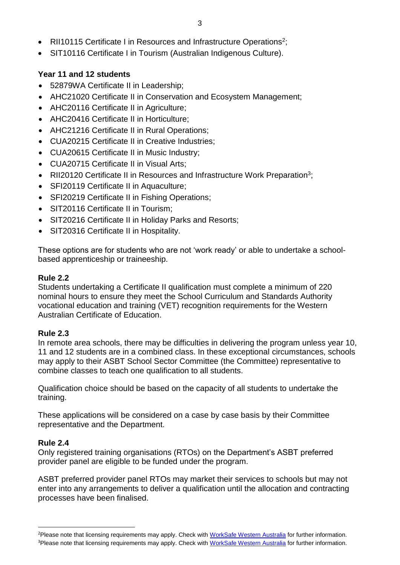- RII10115 Certificate I in Resources and Infrastructure Operations<sup>2</sup>;
- SIT10116 Certificate I in Tourism (Australian Indigenous Culture).

## **Year 11 and 12 students**

- 52879WA Certificate II in Leadership;
- AHC21020 Certificate II in Conservation and Ecosystem Management;
- AHC20116 Certificate II in Agriculture;
- AHC20416 Certificate II in Horticulture;
- AHC21216 Certificate II in Rural Operations;
- CUA20215 Certificate II in Creative Industries;
- CUA20615 Certificate II in Music Industry;
- CUA20715 Certificate II in Visual Arts;
- RII20120 Certificate II in Resources and Infrastructure Work Preparation<sup>3</sup>;
- SFI20119 Certificate II in Aquaculture;
- SFI20219 Certificate II in Fishing Operations;
- SIT20116 Certificate II in Tourism;
- SIT20216 Certificate II in Holiday Parks and Resorts:
- SIT20316 Certificate II in Hospitality.

These options are for students who are not 'work ready' or able to undertake a schoolbased apprenticeship or traineeship.

## **Rule 2.2**

Students undertaking a Certificate II qualification must complete a minimum of 220 nominal hours to ensure they meet the School Curriculum and Standards Authority vocational education and training (VET) recognition requirements for the Western Australian Certificate of Education.

## **Rule 2.3**

In remote area schools, there may be difficulties in delivering the program unless year 10, 11 and 12 students are in a combined class. In these exceptional circumstances, schools may apply to their ASBT School Sector Committee (the Committee) representative to combine classes to teach one qualification to all students.

Qualification choice should be based on the capacity of all students to undertake the training.

These applications will be considered on a case by case basis by their Committee representative and the Department.

## **Rule 2.4**

**.** 

Only registered training organisations (RTOs) on the Department's ASBT preferred provider panel are eligible to be funded under the program.

ASBT preferred provider panel RTOs may market their services to schools but may not enter into any arrangements to deliver a qualification until the allocation and contracting processes have been finalised.

<sup>&</sup>lt;sup>2</sup>Please note that licensing requirements may apply. Check with [WorkSafe Western Australia](http://www.commerce.wa.gov.au/worksafe/) for further information.

<sup>&</sup>lt;sup>3</sup>Please note that licensing requirements may apply. Check with [WorkSafe Western Australia](http://www.commerce.wa.gov.au/worksafe/) for further information.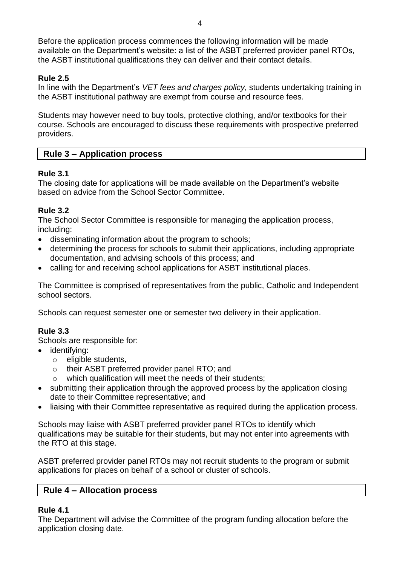Before the application process commences the following information will be made available on the Department's website: a list of the ASBT preferred provider panel RTOs, the ASBT institutional qualifications they can deliver and their contact details.

### **Rule 2.5**

In line with the Department's *VET fees and charges policy*, students undertaking training in the ASBT institutional pathway are exempt from course and resource fees.

Students may however need to buy tools, protective clothing, and/or textbooks for their course. Schools are encouraged to discuss these requirements with prospective preferred providers.

#### <span id="page-4-0"></span>**Rule 3 – Application process**

#### **Rule 3.1**

The closing date for applications will be made available on the Department's website based on advice from the School Sector Committee.

#### **Rule 3.2**

The School Sector Committee is responsible for managing the application process, including:

- disseminating information about the program to schools;
- determining the process for schools to submit their applications, including appropriate documentation, and advising schools of this process; and
- calling for and receiving school applications for ASBT institutional places.

The Committee is comprised of representatives from the public, Catholic and Independent school sectors.

Schools can request semester one or semester two delivery in their application.

#### **Rule 3.3**

Schools are responsible for:

- identifying:
	- o eligible students,
	- o their ASBT preferred provider panel RTO; and
	- o which qualification will meet the needs of their students;
- submitting their application through the approved process by the application closing date to their Committee representative; and
- liaising with their Committee representative as required during the application process.

Schools may liaise with ASBT preferred provider panel RTOs to identify which qualifications may be suitable for their students, but may not enter into agreements with the RTO at this stage.

ASBT preferred provider panel RTOs may not recruit students to the program or submit applications for places on behalf of a school or cluster of schools.

#### <span id="page-4-1"></span>**Rule 4 – Allocation process**

#### **Rule 4.1**

The Department will advise the Committee of the program funding allocation before the application closing date.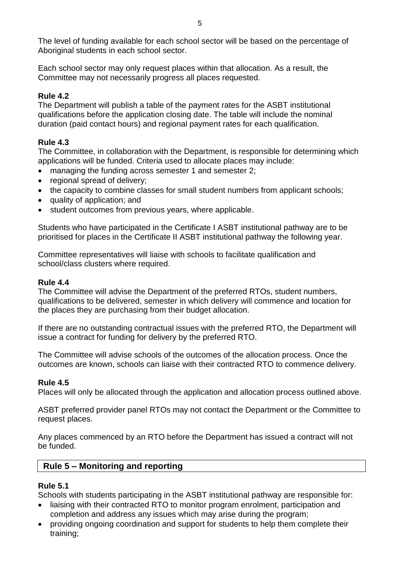The level of funding available for each school sector will be based on the percentage of Aboriginal students in each school sector.

Each school sector may only request places within that allocation. As a result, the Committee may not necessarily progress all places requested.

## **Rule 4.2**

The Department will publish a table of the payment rates for the ASBT institutional qualifications before the application closing date. The table will include the nominal duration (paid contact hours) and regional payment rates for each qualification.

## **Rule 4.3**

The Committee, in collaboration with the Department, is responsible for determining which applications will be funded. Criteria used to allocate places may include:

- managing the funding across semester 1 and semester 2;
- regional spread of delivery;
- the capacity to combine classes for small student numbers from applicant schools;
- quality of application; and
- student outcomes from previous years, where applicable.

Students who have participated in the Certificate I ASBT institutional pathway are to be prioritised for places in the Certificate II ASBT institutional pathway the following year.

Committee representatives will liaise with schools to facilitate qualification and school/class clusters where required.

### **Rule 4.4**

The Committee will advise the Department of the preferred RTOs, student numbers, qualifications to be delivered, semester in which delivery will commence and location for the places they are purchasing from their budget allocation.

If there are no outstanding contractual issues with the preferred RTO, the Department will issue a contract for funding for delivery by the preferred RTO.

The Committee will advise schools of the outcomes of the allocation process. Once the outcomes are known, schools can liaise with their contracted RTO to commence delivery.

## **Rule 4.5**

Places will only be allocated through the application and allocation process outlined above.

ASBT preferred provider panel RTOs may not contact the Department or the Committee to request places.

Any places commenced by an RTO before the Department has issued a contract will not be funded.

## <span id="page-5-0"></span>**Rule 5 – Monitoring and reporting**

#### **Rule 5.1**

Schools with students participating in the ASBT institutional pathway are responsible for:

- liaising with their contracted RTO to monitor program enrolment, participation and completion and address any issues which may arise during the program;
- providing ongoing coordination and support for students to help them complete their training;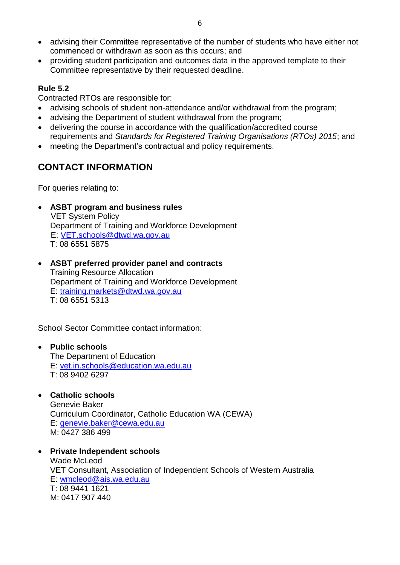- advising their Committee representative of the number of students who have either not commenced or withdrawn as soon as this occurs; and
- providing student participation and outcomes data in the approved template to their Committee representative by their requested deadline.

## **Rule 5.2**

Contracted RTOs are responsible for:

- advising schools of student non-attendance and/or withdrawal from the program;
- advising the Department of student withdrawal from the program;
- delivering the course in accordance with the qualification/accredited course requirements and *Standards for Registered Training Organisations (RTOs) 2015*; and
- meeting the Department's contractual and policy requirements.

## <span id="page-6-0"></span>**CONTACT INFORMATION**

For queries relating to:

**ASBT program and business rules**

VET System Policy Department of Training and Workforce Development E: [VET.schools@dtwd.wa.gov.au](mailto:VET.schools@dtwd.wa.gov.au) T: 08 6551 5875

 **ASBT preferred provider panel and contracts** Training Resource Allocation Department of Training and Workforce Development E: [training.markets@dtwd.wa.gov.au](mailto:training.markets@dtwd.wa.gov.au) T: 08 6551 5313

School Sector Committee contact information:

## **Public schools**

The Department of Education E: [vet.in.schools@education.wa.edu.au](mailto:vet.in.schools@education.wa.edu.au) T: 08 9402 6297

## **Catholic schools**

Genevie Baker Curriculum Coordinator, Catholic Education WA (CEWA) E: [genevie.baker@cewa.edu.au](mailto:genevie.baker@cewa.edu.au) M: 0427 386 499

 **Private Independent schools** Wade McLeod VET Consultant, Association of Independent Schools of Western Australia E: [wmcleod@ais.wa.edu.au](mailto:wmcleod@ais.wa.edu.au) T: 08 9441 1621 M: 0417 907 440